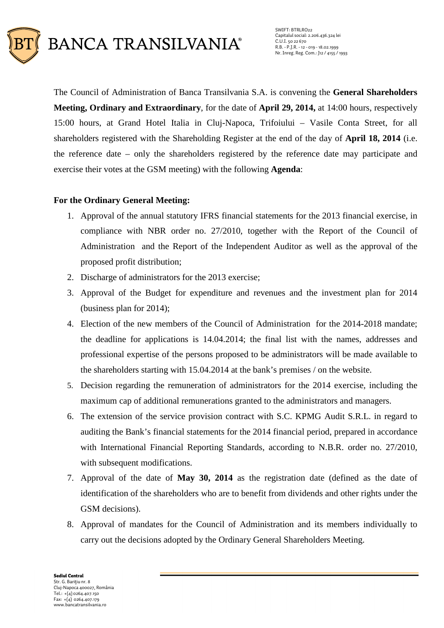

The Council of Administration of Banca Transilvania S.A. is convening the **General Shareholders Meeting, Ordinary and Extraordinary**, for the date of **April 29, 2014,** at 14:00 hours, respectively 15:00 hours, at Grand Hotel Italia in Cluj-Napoca, Trifoiului – Vasile Conta Street, for all shareholders registered with the Shareholding Register at the end of the day of **April 18, 2014** (i.e. the reference date – only the shareholders registered by the reference date may participate and exercise their votes at the GSM meeting) with the following **Agenda**:

# **For the Ordinary General Meeting:**

- 1. Approval of the annual statutory IFRS financial statements for the 2013 financial exercise, in compliance with NBR order no. 27/2010, together with the Report of the Council of Administration and the Report of the Independent Auditor as well as the approval of the proposed profit distribution;
- 2. Discharge of administrators for the 2013 exercise;
- 3. Approval of the Budget for expenditure and revenues and the investment plan for 2014 (business plan for 2014);
- 4. Election of the new members of the Council of Administration for the 2014-2018 mandate; the deadline for applications is 14.04.2014; the final list with the names, addresses and professional expertise of the persons proposed to be administrators will be made available to the shareholders starting with 15.04.2014 at the bank's premises / on the website.
- 5. Decision regarding the remuneration of administrators for the 2014 exercise, including the maximum cap of additional remunerations granted to the administrators and managers.
- 6. The extension of the service provision contract with S.C. KPMG Audit S.R.L. in regard to auditing the Bank's financial statements for the 2014 financial period, prepared in accordance with International Financial Reporting Standards, according to N.B.R. order no. 27/2010, with subsequent modifications.
- 7. Approval of the date of **May 30, 2014** as the registration date (defined as the date of identification of the shareholders who are to benefit from dividends and other rights under the GSM decisions).
- 8. Approval of mandates for the Council of Administration and its members individually to carry out the decisions adopted by the Ordinary General Shareholders Meeting.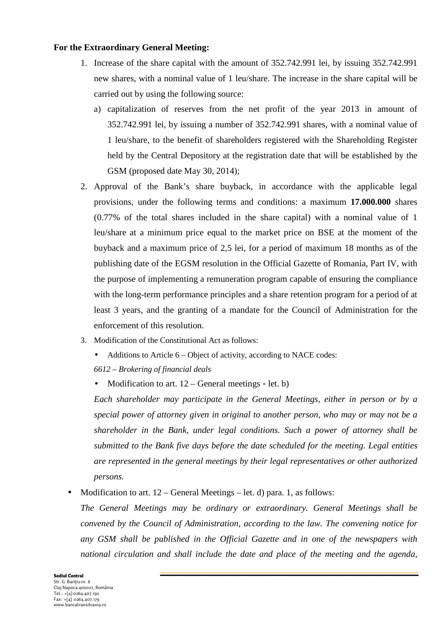#### **For the Extraordinary General Meeting:**

- 1. Increase of the share capital with the amount of 352.742.991 lei, by issuing 352.742.991 new shares, with a nominal value of 1 leu/share. The increase in the share capital will be carried out by using the following source:
	- a) capitalization of reserves from the net profit of the year 2013 in amount of 352.742.991 lei, by issuing a number of 352.742.991 shares, with a nominal value of 1 leu/share, to the benefit of shareholders registered with the Shareholding Register held by the Central Depository at the registration date that will be established by the GSM (proposed date May 30, 2014);
- 2. Approval of the Bank's share buyback, in accordance with the applicable legal provisions, under the following terms and conditions: a maximum **17.000.000** shares (0.77% of the total shares included in the share capital) with a nominal value of 1 leu/share at a minimum price equal to the market price on BSE at the moment of the buyback and a maximum price of 2,5 lei, for a period of maximum 18 months as of the publishing date of the EGSM resolution in the Official Gazette of Romania, Part IV, with the purpose of implementing a remuneration program capable of ensuring the compliance with the long-term performance principles and a share retention program for a period of at least 3 years, and the granting of a mandate for the Council of Administration for the enforcement of this resolution.
- 3. Modification of the Constitutional Act as follows:
	- Additions to Article 6 Object of activity, according to NACE codes:
	- *6612 Brokering of financial deals*
	- Modification to art. 12 General meetings **–** let. b)

*Each shareholder may participate in the General Meetings, either in person or by a special power of attorney given in original to another person, who may or may not be a shareholder in the Bank, under legal conditions. Such a power of attorney shall be submitted to the Bank five days before the date scheduled for the meeting. Legal entities are represented in the general meetings by their legal representatives or other authorized persons.* 

Modification to art.  $12$  – General Meetings – let. d) para. 1, as follows:

*The General Meetings may be ordinary or extraordinary. General Meetings shall be convened by the Council of Administration, according to the law. The convening notice for any GSM shall be published in the Official Gazette and in one of the newspapers with national circulation and shall include the date and place of the meeting and the agenda,*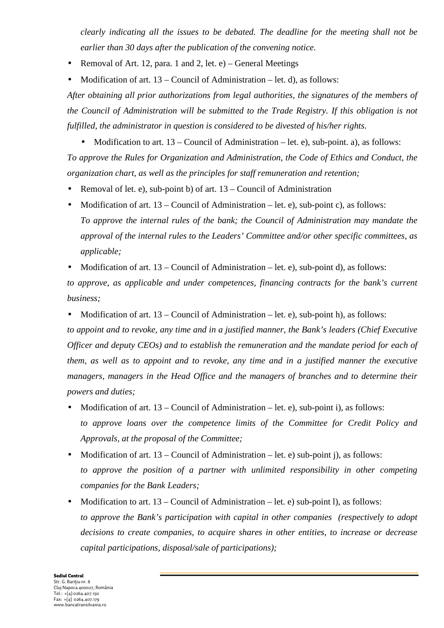*clearly indicating all the issues to be debated. The deadline for the meeting shall not be earlier than 30 days after the publication of the convening notice.*

- Removal of Art. 12, para. 1 and 2, let. e) General Meetings
- Modification of art.  $13 -$ Council of Administration let. d), as follows:

*After obtaining all prior authorizations from legal authorities, the signatures of the members of the Council of Administration will be submitted to the Trade Registry. If this obligation is not fulfilled, the administrator in question is considered to be divested of his/her rights.* 

- Modification to art. 13 Council of Administration let. e), sub-point. a), as follows: *To approve the Rules for Organization and Administration, the Code of Ethics and Conduct, the organization chart, as well as the principles for staff remuneration and retention;*
- Removal of let. e), sub-point b) of art. 13 Council of Administration
- Modification of art.  $13$  Council of Administration let. e), sub-point c), as follows: *To approve the internal rules of the bank; the Council of Administration may mandate the approval of the internal rules to the Leaders' Committee and/or other specific committees, as applicable;*
- Modification of art. 13 Council of Administration let. e), sub-point d), as follows: *to approve, as applicable and under competences, financing contracts for the bank's current business;*
- Modification of art. 13 Council of Administration let. e), sub-point h), as follows: *to appoint and to revoke, any time and in a justified manner, the Bank's leaders (Chief Executive Officer and deputy CEOs) and to establish the remuneration and the mandate period for each of them, as well as to appoint and to revoke, any time and in a justified manner the executive managers, managers in the Head Office and the managers of branches and to determine their powers and duties;*
- Modification of art. 13 Council of Administration let. e), sub-point i), as follows: *to approve loans over the competence limits of the Committee for Credit Policy and Approvals, at the proposal of the Committee;*
- Modification of art. 13 Council of Administration let. e) sub-point i), as follows: *to approve the position of a partner with unlimited responsibility in other competing companies for the Bank Leaders;*
- Modification to art.  $13$  Council of Administration let. e) sub-point l), as follows: *to approve the Bank's participation with capital in other companies (respectively to adopt decisions to create companies, to acquire shares in other entities, to increase or decrease capital participations, disposal/sale of participations);*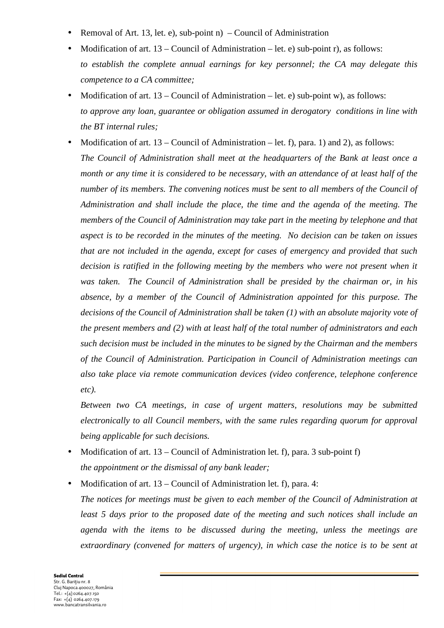- Removal of Art. 13, let. e), sub-point  $n$ ) Council of Administration
- Modification of art. 13 Council of Administration let. e) sub-point r), as follows: *to establish the complete annual earnings for key personnel; the CA may delegate this competence to a CA committee;*
- Modification of art.  $13$  Council of Administration let. e) sub-point w), as follows: *to approve any loan, guarantee or obligation assumed in derogatory conditions in line with the BT internal rules;*
- Modification of art.  $13$  Council of Administration let. f), para. 1) and 2), as follows: *The Council of Administration shall meet at the headquarters of the Bank at least once a month or any time it is considered to be necessary, with an attendance of at least half of the number of its members. The convening notices must be sent to all members of the Council of Administration and shall include the place, the time and the agenda of the meeting. The members of the Council of Administration may take part in the meeting by telephone and that aspect is to be recorded in the minutes of the meeting. No decision can be taken on issues that are not included in the agenda, except for cases of emergency and provided that such*  decision is ratified in the following meeting by the members who were not present when it *was taken. The Council of Administration shall be presided by the chairman or, in his absence, by a member of the Council of Administration appointed for this purpose. The decisions of the Council of Administration shall be taken (1) with an absolute majority vote of the present members and (2) with at least half of the total number of administrators and each such decision must be included in the minutes to be signed by the Chairman and the members of the Council of Administration. Participation in Council of Administration meetings can also take place via remote communication devices (video conference, telephone conference etc).*

*Between two CA meetings, in case of urgent matters, resolutions may be submitted electronically to all Council members, with the same rules regarding quorum for approval being applicable for such decisions.* 

- Modification of art. 13 Council of Administration let. f), para. 3 sub-point f) *the appointment or the dismissal of any bank leader;*
- Modification of art. 13 Council of Administration let. f), para. 4:

*The notices for meetings must be given to each member of the Council of Administration at least 5 days prior to the proposed date of the meeting and such notices shall include an agenda with the items to be discussed during the meeting, unless the meetings are extraordinary (convened for matters of urgency), in which case the notice is to be sent at*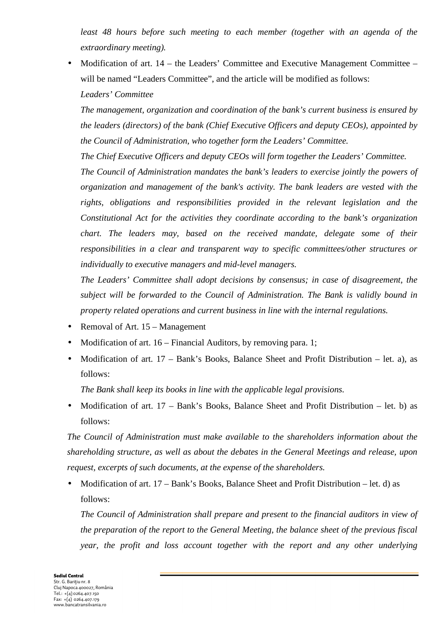*least 48 hours before such meeting to each member (together with an agenda of the extraordinary meeting).* 

• Modification of art. 14 – the Leaders' Committee and Executive Management Committee – will be named "Leaders Committee", and the article will be modified as follows: *Leaders' Committee* 

*The management, organization and coordination of the bank's current business is ensured by the leaders (directors) of the bank (Chief Executive Officers and deputy CEOs), appointed by the Council of Administration, who together form the Leaders' Committee.* 

*The Chief Executive Officers and deputy CEOs will form together the Leaders' Committee.* 

*The Council of Administration mandates the bank's leaders to exercise jointly the powers of organization and management of the bank's activity. The bank leaders are vested with the rights, obligations and responsibilities provided in the relevant legislation and the Constitutional Act for the activities they coordinate according to the bank's organization chart. The leaders may, based on the received mandate, delegate some of their responsibilities in a clear and transparent way to specific committees/other structures or individually to executive managers and mid-level managers.* 

*The Leaders' Committee shall adopt decisions by consensus; in case of disagreement, the subject will be forwarded to the Council of Administration. The Bank is validly bound in property related operations and current business in line with the internal regulations.* 

- Removal of Art. 15 Management
- Modification of art. 16 Financial Auditors, by removing para. 1;
- Modification of art.  $17 Bank's Books$ , Balance Sheet and Profit Distribution let. a), as follows:

*The Bank shall keep its books in line with the applicable legal provisions.* 

• Modification of art. 17 – Bank's Books, Balance Sheet and Profit Distribution – let. b) as follows:

*The Council of Administration must make available to the shareholders information about the shareholding structure, as well as about the debates in the General Meetings and release, upon request, excerpts of such documents, at the expense of the shareholders.* 

• Modification of art. 17 – Bank's Books, Balance Sheet and Profit Distribution – let. d) as follows:

*The Council of Administration shall prepare and present to the financial auditors in view of the preparation of the report to the General Meeting, the balance sheet of the previous fiscal year, the profit and loss account together with the report and any other underlying*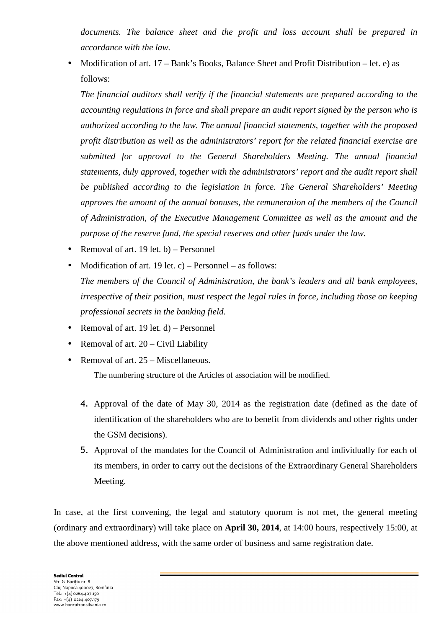*documents. The balance sheet and the profit and loss account shall be prepared in accordance with the law.* 

• Modification of art. 17 – Bank's Books, Balance Sheet and Profit Distribution – let. e) as follows:

*The financial auditors shall verify if the financial statements are prepared according to the accounting regulations in force and shall prepare an audit report signed by the person who is authorized according to the law. The annual financial statements, together with the proposed profit distribution as well as the administrators' report for the related financial exercise are submitted for approval to the General Shareholders Meeting. The annual financial statements, duly approved, together with the administrators' report and the audit report shall be published according to the legislation in force. The General Shareholders' Meeting approves the amount of the annual bonuses, the remuneration of the members of the Council of Administration, of the Executive Management Committee as well as the amount and the purpose of the reserve fund, the special reserves and other funds under the law.* 

- Removal of art.  $19 \text{ let.}$  b) Personnel
- Modification of art. 19 let. c) Personnel as follows: *The members of the Council of Administration, the bank's leaders and all bank employees, irrespective of their position, must respect the legal rules in force, including those on keeping professional secrets in the banking field.*
- Removal of art. 19 let.  $d$ ) Personnel
- Removal of art.  $20 Civil$  Liability
- Removal of art. 25 Miscellaneous. The numbering structure of the Articles of association will be modified.
	- 4. Approval of the date of May 30, 2014 as the registration date (defined as the date of identification of the shareholders who are to benefit from dividends and other rights under the GSM decisions).
	- 5. Approval of the mandates for the Council of Administration and individually for each of its members, in order to carry out the decisions of the Extraordinary General Shareholders Meeting.

In case, at the first convening, the legal and statutory quorum is not met, the general meeting (ordinary and extraordinary) will take place on **April 30, 2014**, at 14:00 hours, respectively 15:00, at the above mentioned address, with the same order of business and same registration date.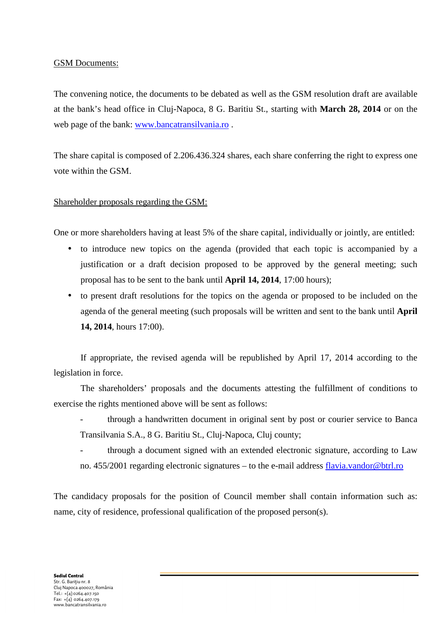## GSM Documents:

The convening notice, the documents to be debated as well as the GSM resolution draft are available at the bank's head office in Cluj-Napoca, 8 G. Baritiu St., starting with **March 28, 2014** or on the web page of the bank: www.bancatransilvania.ro .

The share capital is composed of 2.206.436.324 shares, each share conferring the right to express one vote within the GSM.

## Shareholder proposals regarding the GSM:

One or more shareholders having at least 5% of the share capital, individually or jointly, are entitled:

- to introduce new topics on the agenda (provided that each topic is accompanied by a justification or a draft decision proposed to be approved by the general meeting; such proposal has to be sent to the bank until **April 14, 2014**, 17:00 hours);
- to present draft resolutions for the topics on the agenda or proposed to be included on the agenda of the general meeting (such proposals will be written and sent to the bank until **April 14, 2014**, hours 17:00).

 If appropriate, the revised agenda will be republished by April 17, 2014 according to the legislation in force.

 The shareholders' proposals and the documents attesting the fulfillment of conditions to exercise the rights mentioned above will be sent as follows:

- through a handwritten document in original sent by post or courier service to Banca Transilvania S.A., 8 G. Baritiu St., Cluj-Napoca, Cluj county;
- through a document signed with an extended electronic signature, according to Law no. 455/2001 regarding electronic signatures – to the e-mail address flavia.vandor@btrl.ro

The candidacy proposals for the position of Council member shall contain information such as: name, city of residence, professional qualification of the proposed person(s).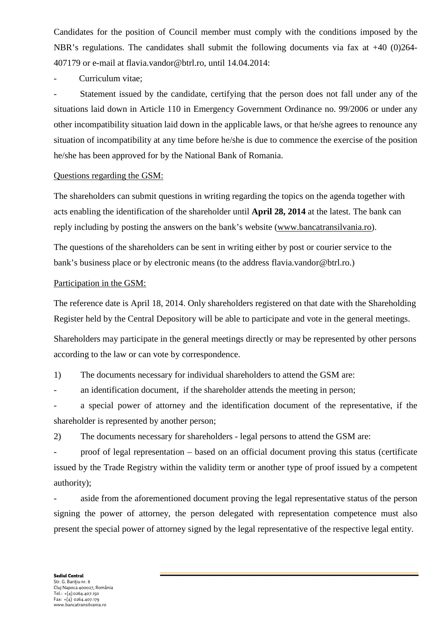Candidates for the position of Council member must comply with the conditions imposed by the NBR's regulations. The candidates shall submit the following documents via fax at +40 (0)264- 407179 or e-mail at flavia.vandor@btrl.ro, until 14.04.2014:

Curriculum vitae:

Statement issued by the candidate, certifying that the person does not fall under any of the situations laid down in Article 110 in Emergency Government Ordinance no. 99/2006 or under any other incompatibility situation laid down in the applicable laws, or that he/she agrees to renounce any situation of incompatibility at any time before he/she is due to commence the exercise of the position he/she has been approved for by the National Bank of Romania.

#### Questions regarding the GSM:

The shareholders can submit questions in writing regarding the topics on the agenda together with acts enabling the identification of the shareholder until **April 28, 2014** at the latest. The bank can reply including by posting the answers on the bank's website (www.bancatransilvania.ro).

The questions of the shareholders can be sent in writing either by post or courier service to the bank's business place or by electronic means (to the address flavia.vandor@btrl.ro.)

## Participation in the GSM:

The reference date is April 18, 2014. Only shareholders registered on that date with the Shareholding Register held by the Central Depository will be able to participate and vote in the general meetings.

Shareholders may participate in the general meetings directly or may be represented by other persons according to the law or can vote by correspondence.

1) The documents necessary for individual shareholders to attend the GSM are:

- an identification document, if the shareholder attends the meeting in person;

a special power of attorney and the identification document of the representative, if the shareholder is represented by another person;

2) The documents necessary for shareholders - legal persons to attend the GSM are:

- proof of legal representation – based on an official document proving this status (certificate issued by the Trade Registry within the validity term or another type of proof issued by a competent authority);

aside from the aforementioned document proving the legal representative status of the person signing the power of attorney, the person delegated with representation competence must also present the special power of attorney signed by the legal representative of the respective legal entity.